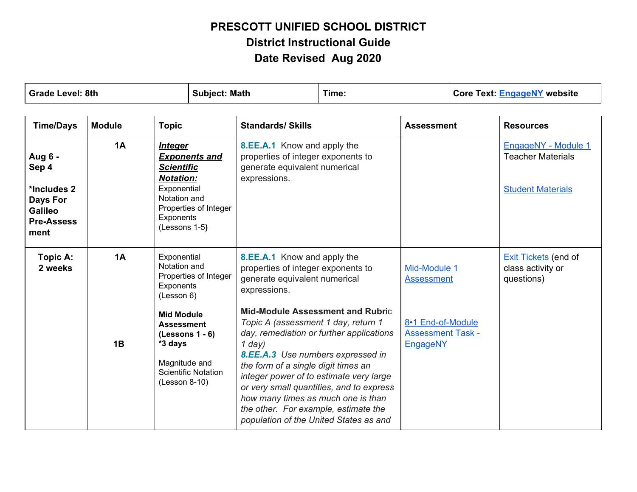| <b>Grade Level: 8th</b><br><b>Subject: Math</b>                                     |               | Time:                                                                                                                |                                               | <b>Core Text: EngageNY website</b>                                                                                                                                                                                                                                                                                                                                                                                                |  |                                                           |                                                                             |
|-------------------------------------------------------------------------------------|---------------|----------------------------------------------------------------------------------------------------------------------|-----------------------------------------------|-----------------------------------------------------------------------------------------------------------------------------------------------------------------------------------------------------------------------------------------------------------------------------------------------------------------------------------------------------------------------------------------------------------------------------------|--|-----------------------------------------------------------|-----------------------------------------------------------------------------|
| <b>Time/Days</b>                                                                    | <b>Module</b> | <b>Topic</b>                                                                                                         |                                               | <b>Standards/ Skills</b>                                                                                                                                                                                                                                                                                                                                                                                                          |  | <b>Assessment</b>                                         | <b>Resources</b>                                                            |
| Aug 6 -<br>Sep 4<br>*Includes 2<br>Days For<br>Galileo<br><b>Pre-Assess</b><br>ment | 1A            | <u>Integer</u><br><b>Scientific</b><br><b>Notation:</b><br>Exponential<br>Notation and<br>Exponents<br>(Lessons 1-5) | <b>Exponents and</b><br>Properties of Integer | 8.EE.A.1 Know and apply the<br>properties of integer exponents to<br>generate equivalent numerical<br>expressions.                                                                                                                                                                                                                                                                                                                |  |                                                           | EngageNY - Module 1<br><b>Teacher Materials</b><br><b>Student Materials</b> |
| Topic A:<br>2 weeks                                                                 | 1A            | Exponential<br>Notation and<br>Exponents<br>(Lesson 6)                                                               | Properties of Integer                         | 8.EE.A.1 Know and apply the<br>properties of integer exponents to<br>generate equivalent numerical<br>expressions.                                                                                                                                                                                                                                                                                                                |  | Mid-Module 1<br><b>Assessment</b>                         | <b>Exit Tickets</b> (end of<br>class activity or<br>questions)              |
|                                                                                     | 1B            | <b>Mid Module</b><br><b>Assessment</b><br>$(Lessons 1 - 6)$<br>*3 days<br>Magnitude and<br>$(Lesson 8-10)$           | <b>Scientific Notation</b>                    | <b>Mid-Module Assessment and Rubric</b><br>Topic A (assessment 1 day, return 1<br>day, remediation or further applications<br>$1$ day)<br>8.EE.A.3 Use numbers expressed in<br>the form of a single digit times an<br>integer power of to estimate very large<br>or very small quantities, and to express<br>how many times as much one is than<br>the other. For example, estimate the<br>population of the United States as and |  | 8-1 End-of-Module<br><b>Assessment Task -</b><br>EngageNY |                                                                             |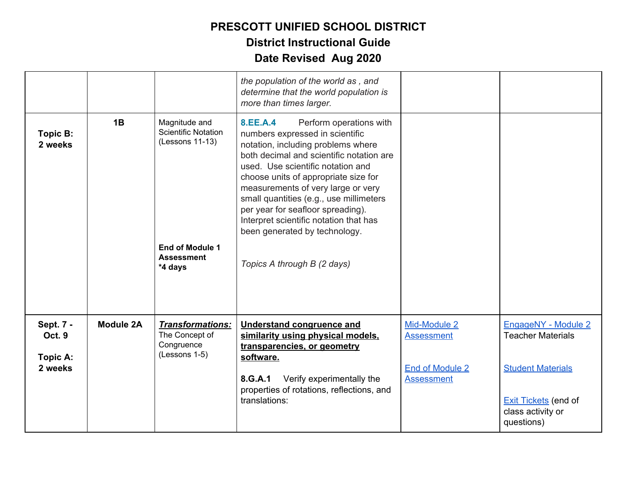|                                            |                  |                                                                                                                   | the population of the world as, and<br>determine that the world population is<br>more than times larger.                                                                                                                                                                                                                                                                                                                                                              |                                                                           |                                                                                                                                               |
|--------------------------------------------|------------------|-------------------------------------------------------------------------------------------------------------------|-----------------------------------------------------------------------------------------------------------------------------------------------------------------------------------------------------------------------------------------------------------------------------------------------------------------------------------------------------------------------------------------------------------------------------------------------------------------------|---------------------------------------------------------------------------|-----------------------------------------------------------------------------------------------------------------------------------------------|
| Topic B:<br>2 weeks                        | 1B               | Magnitude and<br><b>Scientific Notation</b><br>(Lessons 11-13)<br>End of Module 1<br><b>Assessment</b><br>*4 days | 8.EE.A.4<br>Perform operations with<br>numbers expressed in scientific<br>notation, including problems where<br>both decimal and scientific notation are<br>used. Use scientific notation and<br>choose units of appropriate size for<br>measurements of very large or very<br>small quantities (e.g., use millimeters<br>per year for seafloor spreading).<br>Interpret scientific notation that has<br>been generated by technology.<br>Topics A through B (2 days) |                                                                           |                                                                                                                                               |
| Sept. 7 -<br>Oct. 9<br>Topic A:<br>2 weeks | <b>Module 2A</b> | <b>Transformations:</b><br>The Concept of<br>Congruence<br>(Lessons 1-5)                                          | <b>Understand congruence and</b><br>similarity using physical models,<br>transparencies, or geometry<br>software.<br>Verify experimentally the<br>8.G.A.1<br>properties of rotations, reflections, and<br>translations:                                                                                                                                                                                                                                               | Mid-Module 2<br><b>Assessment</b><br>End of Module 2<br><b>Assessment</b> | EngageNY - Module 2<br><b>Teacher Materials</b><br><b>Student Materials</b><br><b>Exit Tickets</b> (end of<br>class activity or<br>questions) |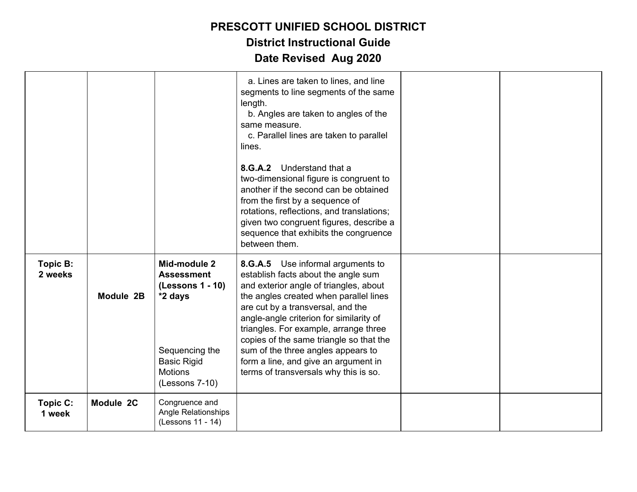|                     |           |                                                                                                                                              | a. Lines are taken to lines, and line<br>segments to line segments of the same<br>length.<br>b. Angles are taken to angles of the<br>same measure.<br>c. Parallel lines are taken to parallel<br>lines.<br>8.G.A.2 Understand that a<br>two-dimensional figure is congruent to<br>another if the second can be obtained<br>from the first by a sequence of<br>rotations, reflections, and translations;<br>given two congruent figures, describe a<br>sequence that exhibits the congruence<br>between them. |  |
|---------------------|-----------|----------------------------------------------------------------------------------------------------------------------------------------------|--------------------------------------------------------------------------------------------------------------------------------------------------------------------------------------------------------------------------------------------------------------------------------------------------------------------------------------------------------------------------------------------------------------------------------------------------------------------------------------------------------------|--|
| Topic B:<br>2 weeks | Module 2B | Mid-module 2<br><b>Assessment</b><br>(Lessons 1 - 10)<br>*2 days<br>Sequencing the<br><b>Basic Rigid</b><br><b>Motions</b><br>(Lessons 7-10) | 8.G.A.5 Use informal arguments to<br>establish facts about the angle sum<br>and exterior angle of triangles, about<br>the angles created when parallel lines<br>are cut by a transversal, and the<br>angle-angle criterion for similarity of<br>triangles. For example, arrange three<br>copies of the same triangle so that the<br>sum of the three angles appears to<br>form a line, and give an argument in<br>terms of transversals why this is so.                                                      |  |
| Topic C:<br>1 week  | Module 2C | Congruence and<br><b>Angle Relationships</b><br>(Lessons 11 - 14)                                                                            |                                                                                                                                                                                                                                                                                                                                                                                                                                                                                                              |  |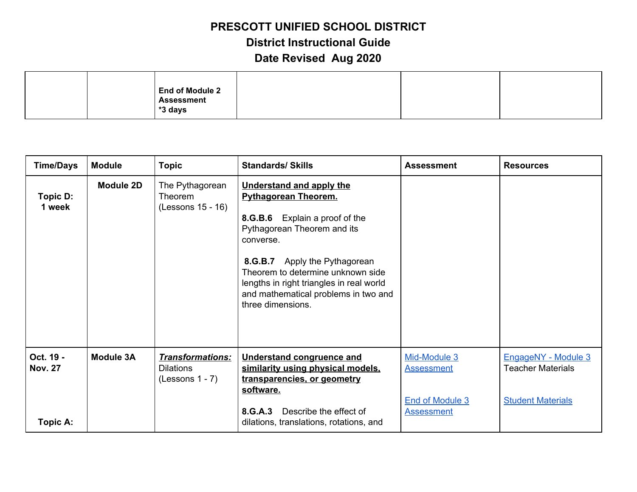|  | <b>End of Module 2</b><br><b>Assessment</b> |  |  |
|--|---------------------------------------------|--|--|
|  | *3 days                                     |  |  |

| <b>Time/Days</b>                        | <b>Module</b>    | <b>Topic</b>                                                     | <b>Standards/ Skills</b>                                                                                                                                                                                                                                                                                                    | <b>Assessment</b>                                                         | <b>Resources</b>                                                            |
|-----------------------------------------|------------------|------------------------------------------------------------------|-----------------------------------------------------------------------------------------------------------------------------------------------------------------------------------------------------------------------------------------------------------------------------------------------------------------------------|---------------------------------------------------------------------------|-----------------------------------------------------------------------------|
| Topic D:<br>1 week                      | Module 2D        | The Pythagorean<br>Theorem<br>(Lessons 15 - 16)                  | <b>Understand and apply the</b><br><b>Pythagorean Theorem.</b><br>8.G.B.6 Explain a proof of the<br>Pythagorean Theorem and its<br>converse.<br>8.G.B.7 Apply the Pythagorean<br>Theorem to determine unknown side<br>lengths in right triangles in real world<br>and mathematical problems in two and<br>three dimensions. |                                                                           |                                                                             |
| Oct. 19 -<br><b>Nov. 27</b><br>Topic A: | <b>Module 3A</b> | <b>Transformations:</b><br><b>Dilations</b><br>$(Lessons 1 - 7)$ | <b>Understand congruence and</b><br>similarity using physical models,<br>transparencies, or geometry<br>software.<br>8.G.A.3<br>Describe the effect of<br>dilations, translations, rotations, and                                                                                                                           | Mid-Module 3<br><b>Assessment</b><br>End of Module 3<br><b>Assessment</b> | EngageNY - Module 3<br><b>Teacher Materials</b><br><b>Student Materials</b> |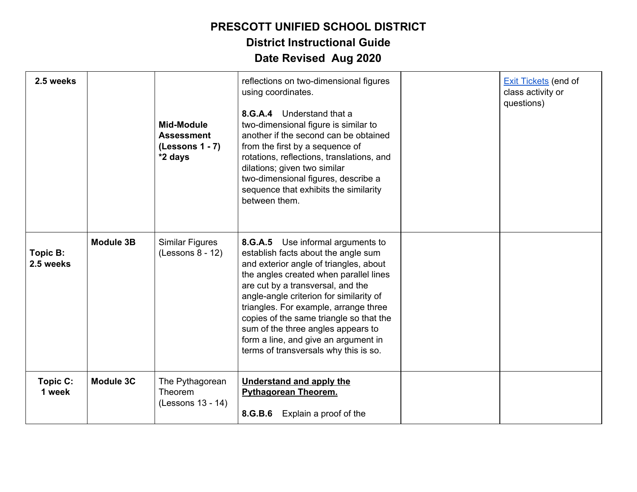**District Instructional Guide**

| 2.5 weeks             |                  | <b>Mid-Module</b><br><b>Assessment</b><br>$(Lessons 1 - 7)$<br>*2 days | reflections on two-dimensional figures<br>using coordinates.<br>8.G.A.4 Understand that a<br>two-dimensional figure is similar to<br>another if the second can be obtained<br>from the first by a sequence of<br>rotations, reflections, translations, and<br>dilations; given two similar<br>two-dimensional figures, describe a<br>sequence that exhibits the similarity<br>between them.                                                             | <b>Exit Tickets (end of</b><br>class activity or<br>questions) |
|-----------------------|------------------|------------------------------------------------------------------------|---------------------------------------------------------------------------------------------------------------------------------------------------------------------------------------------------------------------------------------------------------------------------------------------------------------------------------------------------------------------------------------------------------------------------------------------------------|----------------------------------------------------------------|
| Topic B:<br>2.5 weeks | <b>Module 3B</b> | Similar Figures<br>$(Lessons 8 - 12)$                                  | 8.G.A.5 Use informal arguments to<br>establish facts about the angle sum<br>and exterior angle of triangles, about<br>the angles created when parallel lines<br>are cut by a transversal, and the<br>angle-angle criterion for similarity of<br>triangles. For example, arrange three<br>copies of the same triangle so that the<br>sum of the three angles appears to<br>form a line, and give an argument in<br>terms of transversals why this is so. |                                                                |
| Topic C:<br>1 week    | <b>Module 3C</b> | The Pythagorean<br><b>Theorem</b><br>(Lessons 13 - 14)                 | <b>Understand and apply the</b><br><b>Pythagorean Theorem.</b><br>8.G.B.6 Explain a proof of the                                                                                                                                                                                                                                                                                                                                                        |                                                                |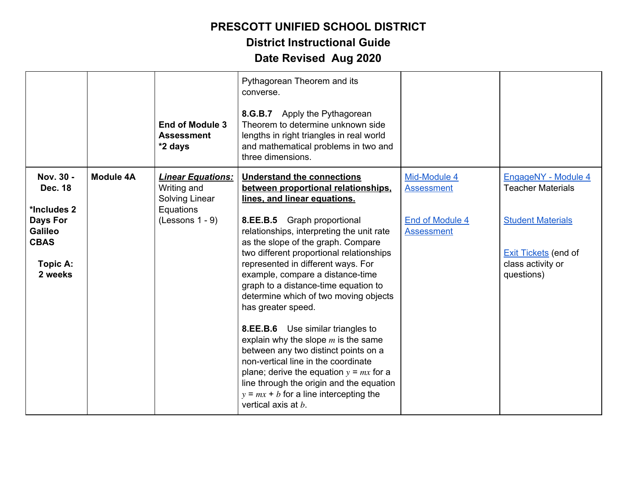|                                                                                                                       |                  | <b>End of Module 3</b><br><b>Assessment</b><br>*2 days                                      | Pythagorean Theorem and its<br>converse.<br>8.G.B.7 Apply the Pythagorean<br>Theorem to determine unknown side<br>lengths in right triangles in real world<br>and mathematical problems in two and<br>three dimensions.                                                                                                                                                                                                                                                                                                                                                                                                                                                                                                                                                          |                                                                           |                                                                                                                                               |
|-----------------------------------------------------------------------------------------------------------------------|------------------|---------------------------------------------------------------------------------------------|----------------------------------------------------------------------------------------------------------------------------------------------------------------------------------------------------------------------------------------------------------------------------------------------------------------------------------------------------------------------------------------------------------------------------------------------------------------------------------------------------------------------------------------------------------------------------------------------------------------------------------------------------------------------------------------------------------------------------------------------------------------------------------|---------------------------------------------------------------------------|-----------------------------------------------------------------------------------------------------------------------------------------------|
| Nov. 30 -<br><b>Dec. 18</b><br>*Includes 2<br><b>Days For</b><br><b>Galileo</b><br><b>CBAS</b><br>Topic A:<br>2 weeks | <b>Module 4A</b> | <b>Linear Equations:</b><br>Writing and<br>Solving Linear<br>Equations<br>$(Lessons 1 - 9)$ | <b>Understand the connections</b><br>between proportional relationships,<br>lines, and linear equations.<br>8.EE.B.5 Graph proportional<br>relationships, interpreting the unit rate<br>as the slope of the graph. Compare<br>two different proportional relationships<br>represented in different ways. For<br>example, compare a distance-time<br>graph to a distance-time equation to<br>determine which of two moving objects<br>has greater speed.<br>8.EE.B.6 Use similar triangles to<br>explain why the slope $m$ is the same<br>between any two distinct points on a<br>non-vertical line in the coordinate<br>plane; derive the equation $y = mx$ for a<br>line through the origin and the equation<br>$y = mx + b$ for a line intercepting the<br>vertical axis at b. | Mid-Module 4<br><b>Assessment</b><br>End of Module 4<br><b>Assessment</b> | EngageNY - Module 4<br><b>Teacher Materials</b><br><b>Student Materials</b><br><b>Exit Tickets (end of</b><br>class activity or<br>questions) |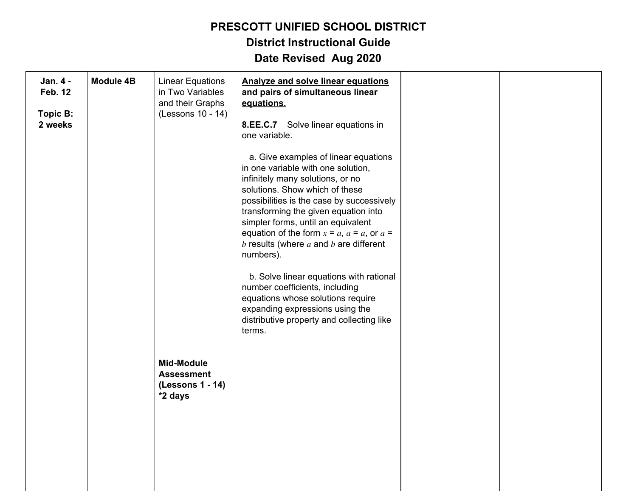**District Instructional Guide**

| Jan. 4 -<br>Feb. 12<br>Topic B:<br>2 weeks | <b>Module 4B</b> | <b>Linear Equations</b><br>in Two Variables<br>and their Graphs<br>(Lessons 10 - 14) | <b>Analyze and solve linear equations</b><br>and pairs of simultaneous linear<br>equations.<br>8.EE.C.7 Solve linear equations in<br>one variable.                                                                                                                                                                                                                                              |  |
|--------------------------------------------|------------------|--------------------------------------------------------------------------------------|-------------------------------------------------------------------------------------------------------------------------------------------------------------------------------------------------------------------------------------------------------------------------------------------------------------------------------------------------------------------------------------------------|--|
|                                            |                  |                                                                                      | a. Give examples of linear equations<br>in one variable with one solution,<br>infinitely many solutions, or no<br>solutions. Show which of these<br>possibilities is the case by successively<br>transforming the given equation into<br>simpler forms, until an equivalent<br>equation of the form $x = a$ , $a = a$ , or $a = a$<br>$b$ results (where $a$ and $b$ are different<br>numbers). |  |
|                                            |                  |                                                                                      | b. Solve linear equations with rational<br>number coefficients, including<br>equations whose solutions require<br>expanding expressions using the<br>distributive property and collecting like<br>terms.                                                                                                                                                                                        |  |
|                                            |                  | <b>Mid-Module</b><br><b>Assessment</b><br>(Lessons 1 - 14)<br>*2 days                |                                                                                                                                                                                                                                                                                                                                                                                                 |  |
|                                            |                  |                                                                                      |                                                                                                                                                                                                                                                                                                                                                                                                 |  |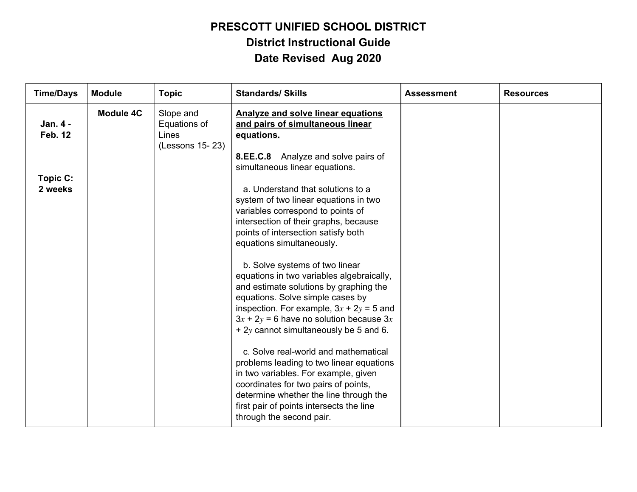| <b>Time/Days</b>           | <b>Module</b>    | <b>Topic</b>                                          | <b>Standards/ Skills</b>                                                                                                                                                                                                                                                                                                                                                                                                                                                                                                                                                                                                                                                                                                                                                                                                | <b>Assessment</b> | <b>Resources</b> |
|----------------------------|------------------|-------------------------------------------------------|-------------------------------------------------------------------------------------------------------------------------------------------------------------------------------------------------------------------------------------------------------------------------------------------------------------------------------------------------------------------------------------------------------------------------------------------------------------------------------------------------------------------------------------------------------------------------------------------------------------------------------------------------------------------------------------------------------------------------------------------------------------------------------------------------------------------------|-------------------|------------------|
| Jan. 4 -<br><b>Feb. 12</b> | <b>Module 4C</b> | Slope and<br>Equations of<br>Lines<br>(Lessons 15-23) | <b>Analyze and solve linear equations</b><br>and pairs of simultaneous linear<br>equations.<br>8.EE.C.8 Analyze and solve pairs of<br>simultaneous linear equations.                                                                                                                                                                                                                                                                                                                                                                                                                                                                                                                                                                                                                                                    |                   |                  |
| Topic C:<br>2 weeks        |                  |                                                       | a. Understand that solutions to a<br>system of two linear equations in two<br>variables correspond to points of<br>intersection of their graphs, because<br>points of intersection satisfy both<br>equations simultaneously.<br>b. Solve systems of two linear<br>equations in two variables algebraically,<br>and estimate solutions by graphing the<br>equations. Solve simple cases by<br>inspection. For example, $3x + 2y = 5$ and<br>$3x + 2y = 6$ have no solution because $3x$<br>$+2y$ cannot simultaneously be 5 and 6.<br>c. Solve real-world and mathematical<br>problems leading to two linear equations<br>in two variables. For example, given<br>coordinates for two pairs of points,<br>determine whether the line through the<br>first pair of points intersects the line<br>through the second pair. |                   |                  |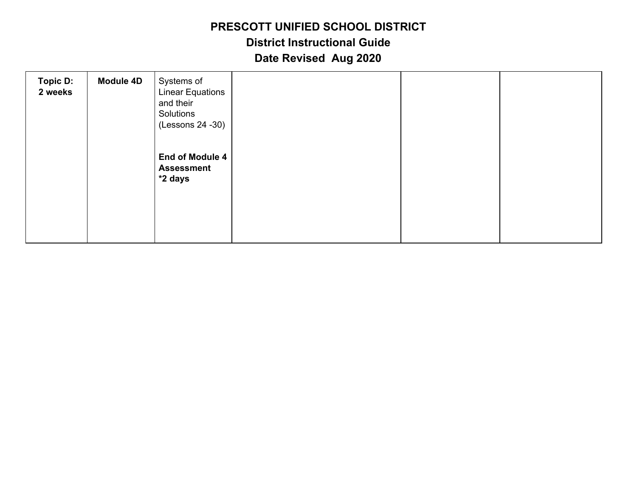| <b>Topic D:</b><br>2 weeks | <b>Module 4D</b> | Systems of<br><b>Linear Equations</b><br>and their<br>Solutions<br>(Lessons 24 - 30) |  |  |
|----------------------------|------------------|--------------------------------------------------------------------------------------|--|--|
|                            |                  | End of Module 4<br><b>Assessment</b><br>*2 days                                      |  |  |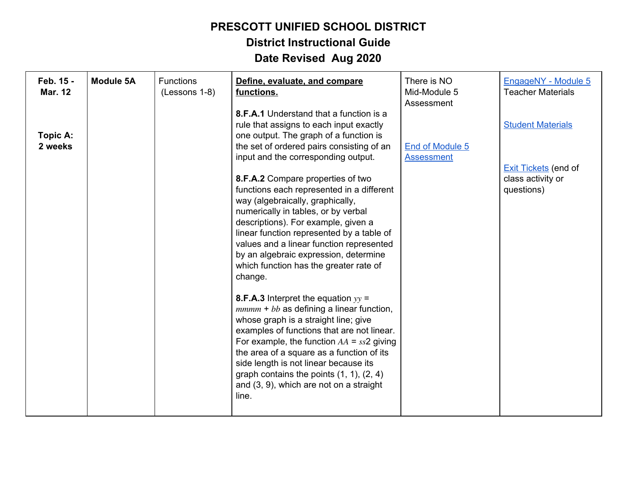### **PRESCOTT UNIFIED SCHOOL DISTRICT District Instructional Guide**

| Feb. 15 -<br><b>Mar. 12</b> | <b>Module 5A</b> | <b>Functions</b><br>(Lessons 1-8) | Define, evaluate, and compare<br>functions.                                                                                                                                                                                                                                                                                                                                                                               | There is NO<br>Mid-Module 5<br>Assessment | EngageNY - Module 5<br><b>Teacher Materials</b>         |
|-----------------------------|------------------|-----------------------------------|---------------------------------------------------------------------------------------------------------------------------------------------------------------------------------------------------------------------------------------------------------------------------------------------------------------------------------------------------------------------------------------------------------------------------|-------------------------------------------|---------------------------------------------------------|
| Topic A:<br>2 weeks         |                  |                                   | 8.F.A.1 Understand that a function is a<br>rule that assigns to each input exactly<br>one output. The graph of a function is<br>the set of ordered pairs consisting of an<br>input and the corresponding output.                                                                                                                                                                                                          | End of Module 5<br><b>Assessment</b>      | <b>Student Materials</b><br><b>Exit Tickets</b> (end of |
|                             |                  |                                   | 8.F.A.2 Compare properties of two<br>functions each represented in a different<br>way (algebraically, graphically,<br>numerically in tables, or by verbal<br>descriptions). For example, given a<br>linear function represented by a table of<br>values and a linear function represented<br>by an algebraic expression, determine<br>which function has the greater rate of<br>change.                                   |                                           | class activity or<br>questions)                         |
|                             |                  |                                   | <b>8.F.A.3</b> Interpret the equation $yy =$<br>$mmm + bb$ as defining a linear function,<br>whose graph is a straight line; give<br>examples of functions that are not linear.<br>For example, the function $AA = ss2$ giving<br>the area of a square as a function of its<br>side length is not linear because its<br>graph contains the points $(1, 1)$ , $(2, 4)$<br>and (3, 9), which are not on a straight<br>line. |                                           |                                                         |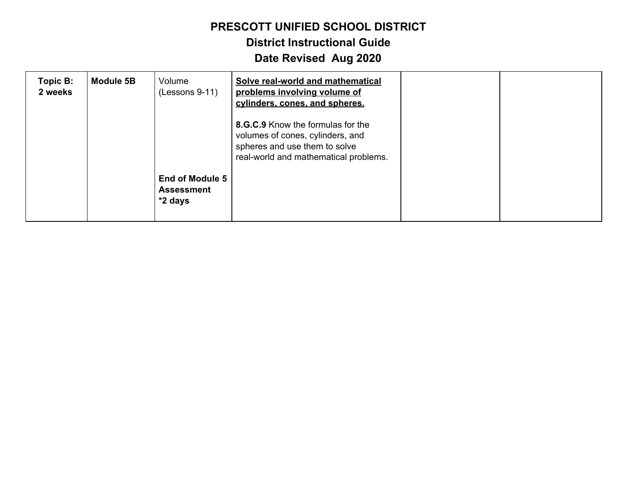# **District Instructional Guide**

| Topic B:<br>2 weeks | <b>Module 5B</b> | Volume<br>$(Lessons 9-11)$                             | Solve real-world and mathematical<br>problems involving volume of<br>cylinders, cones, and spheres.                                             |  |
|---------------------|------------------|--------------------------------------------------------|-------------------------------------------------------------------------------------------------------------------------------------------------|--|
|                     |                  |                                                        | 8.G.C.9 Know the formulas for the<br>volumes of cones, cylinders, and<br>spheres and use them to solve<br>real-world and mathematical problems. |  |
|                     |                  | <b>End of Module 5</b><br><b>Assessment</b><br>*2 days |                                                                                                                                                 |  |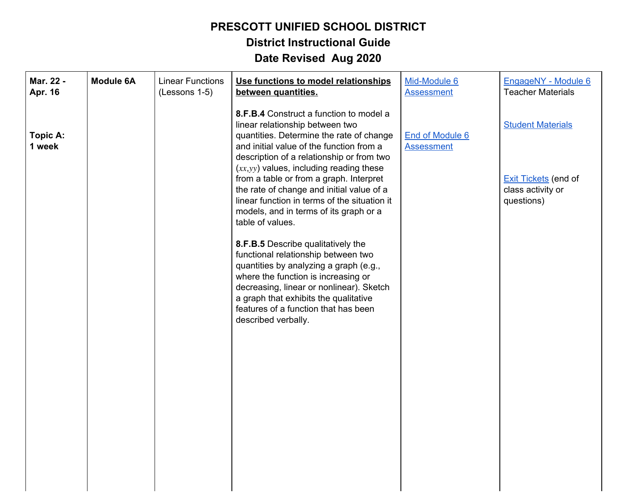**District Instructional Guide**

| Mar. 22 -<br>Apr. 16 | <b>Module 6A</b> | <b>Linear Functions</b><br>(Lessons 1-5) | Use functions to model relationships<br>between quantities.                                                                                                                                                                                                                                                                                           | Mid-Module 6<br><b>Assessment</b>    | EngageNY - Module 6<br><b>Teacher Materials</b>                              |
|----------------------|------------------|------------------------------------------|-------------------------------------------------------------------------------------------------------------------------------------------------------------------------------------------------------------------------------------------------------------------------------------------------------------------------------------------------------|--------------------------------------|------------------------------------------------------------------------------|
| Topic A:<br>1 week   |                  |                                          | 8.F.B.4 Construct a function to model a<br>linear relationship between two<br>quantities. Determine the rate of change<br>and initial value of the function from a<br>description of a relationship or from two<br>$(xx, yy)$ values, including reading these<br>from a table or from a graph. Interpret<br>the rate of change and initial value of a | End of Module 6<br><b>Assessment</b> | <b>Student Materials</b><br><b>Exit Tickets (end of</b><br>class activity or |
|                      |                  |                                          | linear function in terms of the situation it<br>models, and in terms of its graph or a<br>table of values.                                                                                                                                                                                                                                            |                                      | questions)                                                                   |
|                      |                  |                                          | 8.F.B.5 Describe qualitatively the<br>functional relationship between two<br>quantities by analyzing a graph (e.g.,<br>where the function is increasing or<br>decreasing, linear or nonlinear). Sketch<br>a graph that exhibits the qualitative<br>features of a function that has been<br>described verbally.                                        |                                      |                                                                              |
|                      |                  |                                          |                                                                                                                                                                                                                                                                                                                                                       |                                      |                                                                              |
|                      |                  |                                          |                                                                                                                                                                                                                                                                                                                                                       |                                      |                                                                              |
|                      |                  |                                          |                                                                                                                                                                                                                                                                                                                                                       |                                      |                                                                              |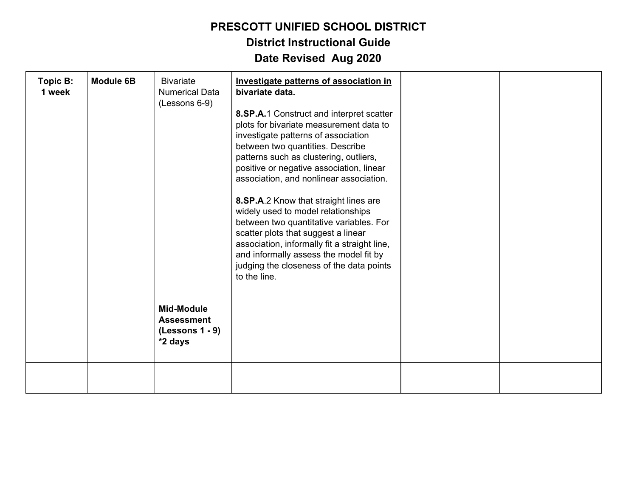| Topic B:<br>1 week | <b>Module 6B</b> | <b>Bivariate</b><br><b>Numerical Data</b><br>(Lessons 6-9)<br><b>Mid-Module</b><br><b>Assessment</b><br>$(Lessons 1 - 9)$<br>*2 days | Investigate patterns of association in<br>bivariate data.<br>8.SP.A.1 Construct and interpret scatter<br>plots for bivariate measurement data to<br>investigate patterns of association<br>between two quantities. Describe<br>patterns such as clustering, outliers,<br>positive or negative association, linear<br>association, and nonlinear association.<br>8.SP.A.2 Know that straight lines are<br>widely used to model relationships<br>between two quantitative variables. For<br>scatter plots that suggest a linear<br>association, informally fit a straight line,<br>and informally assess the model fit by<br>judging the closeness of the data points<br>to the line. |  |
|--------------------|------------------|--------------------------------------------------------------------------------------------------------------------------------------|-------------------------------------------------------------------------------------------------------------------------------------------------------------------------------------------------------------------------------------------------------------------------------------------------------------------------------------------------------------------------------------------------------------------------------------------------------------------------------------------------------------------------------------------------------------------------------------------------------------------------------------------------------------------------------------|--|
|                    |                  |                                                                                                                                      |                                                                                                                                                                                                                                                                                                                                                                                                                                                                                                                                                                                                                                                                                     |  |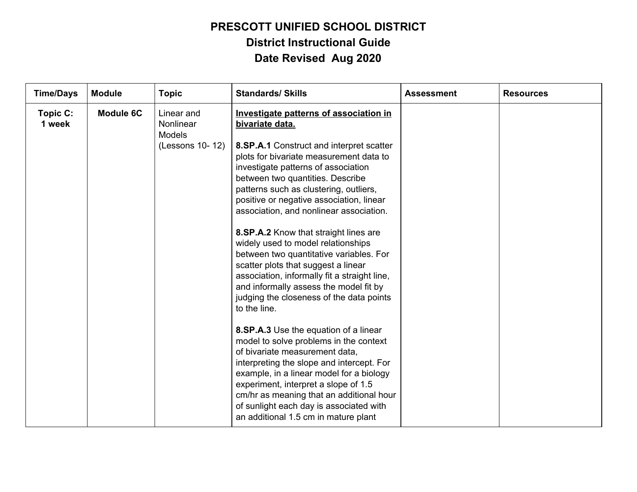| <b>Time/Days</b>   | <b>Module</b>    | <b>Topic</b>                                                | <b>Standards/ Skills</b>                                                                                                                                                                                                                                                                                                                                                                                                                                                                                                                                                                                                                                                                                                                                                                                                                                                                                                                                                                                                                                                 | <b>Assessment</b> | <b>Resources</b> |
|--------------------|------------------|-------------------------------------------------------------|--------------------------------------------------------------------------------------------------------------------------------------------------------------------------------------------------------------------------------------------------------------------------------------------------------------------------------------------------------------------------------------------------------------------------------------------------------------------------------------------------------------------------------------------------------------------------------------------------------------------------------------------------------------------------------------------------------------------------------------------------------------------------------------------------------------------------------------------------------------------------------------------------------------------------------------------------------------------------------------------------------------------------------------------------------------------------|-------------------|------------------|
| Topic C:<br>1 week | <b>Module 6C</b> | Linear and<br>Nonlinear<br><b>Models</b><br>(Lessons 10-12) | Investigate patterns of association in<br>bivariate data.<br>8.SP.A.1 Construct and interpret scatter<br>plots for bivariate measurement data to<br>investigate patterns of association<br>between two quantities. Describe<br>patterns such as clustering, outliers,<br>positive or negative association, linear<br>association, and nonlinear association.<br>8.SP.A.2 Know that straight lines are<br>widely used to model relationships<br>between two quantitative variables. For<br>scatter plots that suggest a linear<br>association, informally fit a straight line,<br>and informally assess the model fit by<br>judging the closeness of the data points<br>to the line.<br>8.SP.A.3 Use the equation of a linear<br>model to solve problems in the context<br>of bivariate measurement data,<br>interpreting the slope and intercept. For<br>example, in a linear model for a biology<br>experiment, interpret a slope of 1.5<br>cm/hr as meaning that an additional hour<br>of sunlight each day is associated with<br>an additional 1.5 cm in mature plant |                   |                  |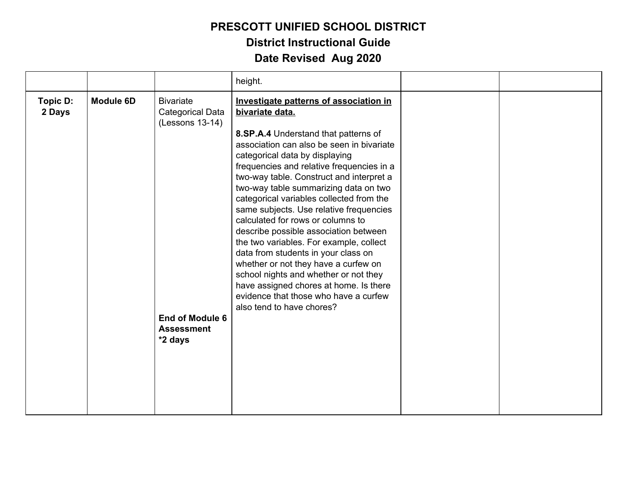|                    |                  |                                                                                                                          | height.                                                                                                                                                                                                                                                                                                                                                                                                                                                                                                                                                                                                                                                                                                                                                                    |  |
|--------------------|------------------|--------------------------------------------------------------------------------------------------------------------------|----------------------------------------------------------------------------------------------------------------------------------------------------------------------------------------------------------------------------------------------------------------------------------------------------------------------------------------------------------------------------------------------------------------------------------------------------------------------------------------------------------------------------------------------------------------------------------------------------------------------------------------------------------------------------------------------------------------------------------------------------------------------------|--|
| Topic D:<br>2 Days | <b>Module 6D</b> | <b>Bivariate</b><br><b>Categorical Data</b><br>(Lessons 13-14)<br><b>End of Module 6</b><br><b>Assessment</b><br>*2 days | Investigate patterns of association in<br>bivariate data.<br>8.SP.A.4 Understand that patterns of<br>association can also be seen in bivariate<br>categorical data by displaying<br>frequencies and relative frequencies in a<br>two-way table. Construct and interpret a<br>two-way table summarizing data on two<br>categorical variables collected from the<br>same subjects. Use relative frequencies<br>calculated for rows or columns to<br>describe possible association between<br>the two variables. For example, collect<br>data from students in your class on<br>whether or not they have a curfew on<br>school nights and whether or not they<br>have assigned chores at home. Is there<br>evidence that those who have a curfew<br>also tend to have chores? |  |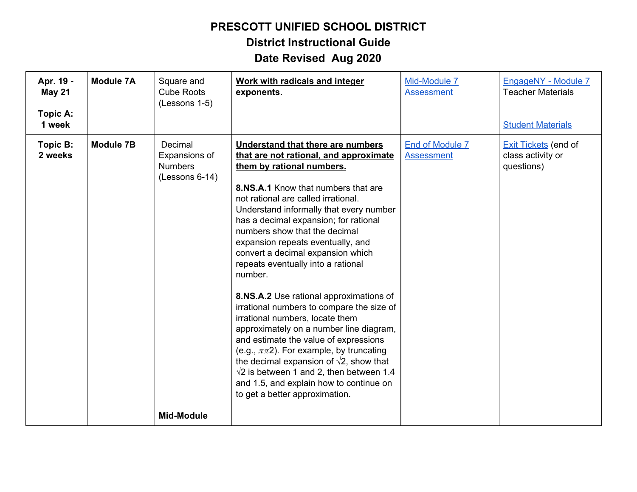**District Instructional Guide**

| Apr. 19 -<br><b>May 21</b><br>Topic A:<br>1 week | <b>Module 7A</b> | Square and<br><b>Cube Roots</b><br>(Lessons 1-5)               | Work with radicals and integer<br>exponents.                                                                                                                                                                                                                                                                                                                                                                                                                                                                                                                                                                                                                                                                                                                                                                                                                                               | Mid-Module 7<br><b>Assessment</b>           | EngageNY - Module 7<br><b>Teacher Materials</b><br><b>Student Materials</b> |
|--------------------------------------------------|------------------|----------------------------------------------------------------|--------------------------------------------------------------------------------------------------------------------------------------------------------------------------------------------------------------------------------------------------------------------------------------------------------------------------------------------------------------------------------------------------------------------------------------------------------------------------------------------------------------------------------------------------------------------------------------------------------------------------------------------------------------------------------------------------------------------------------------------------------------------------------------------------------------------------------------------------------------------------------------------|---------------------------------------------|-----------------------------------------------------------------------------|
| Topic B:<br>2 weeks                              | <b>Module 7B</b> | Decimal<br>Expansions of<br><b>Numbers</b><br>$(Lessons 6-14)$ | Understand that there are numbers<br>that are not rational, and approximate<br>them by rational numbers.<br>8.NS.A.1 Know that numbers that are<br>not rational are called irrational.<br>Understand informally that every number<br>has a decimal expansion; for rational<br>numbers show that the decimal<br>expansion repeats eventually, and<br>convert a decimal expansion which<br>repeats eventually into a rational<br>number.<br>8.NS.A.2 Use rational approximations of<br>irrational numbers to compare the size of<br>irrational numbers, locate them<br>approximately on a number line diagram,<br>and estimate the value of expressions<br>(e.g., $\pi\pi$ 2). For example, by truncating<br>the decimal expansion of $\sqrt{2}$ , show that<br>$\sqrt{2}$ is between 1 and 2, then between 1.4<br>and 1.5, and explain how to continue on<br>to get a better approximation. | <b>End of Module 7</b><br><b>Assessment</b> | <b>Exit Tickets</b> (end of<br>class activity or<br>questions)              |
|                                                  |                  | <b>Mid-Module</b>                                              |                                                                                                                                                                                                                                                                                                                                                                                                                                                                                                                                                                                                                                                                                                                                                                                                                                                                                            |                                             |                                                                             |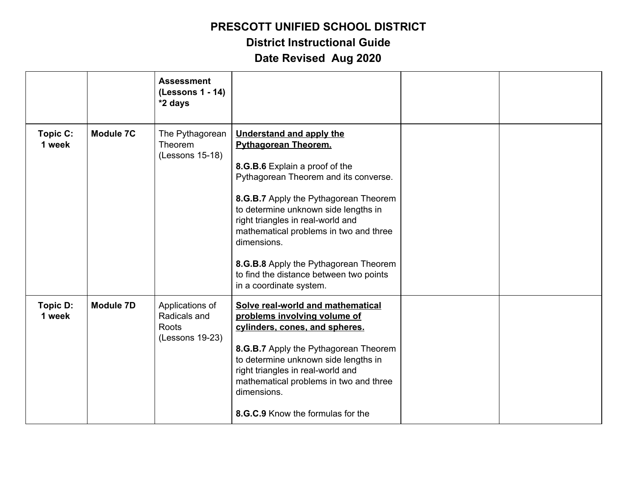# **District Instructional Guide**

|                    |                  | <b>Assessment</b><br>(Lessons 1 - 14)<br>*2 days            |                                                                                                                                                                                                                                                                                                                                                                                                                                         |  |
|--------------------|------------------|-------------------------------------------------------------|-----------------------------------------------------------------------------------------------------------------------------------------------------------------------------------------------------------------------------------------------------------------------------------------------------------------------------------------------------------------------------------------------------------------------------------------|--|
| Topic C:<br>1 week | <b>Module 7C</b> | The Pythagorean<br>Theorem<br>(Lessons 15-18)               | <b>Understand and apply the</b><br><b>Pythagorean Theorem.</b><br>8.G.B.6 Explain a proof of the<br>Pythagorean Theorem and its converse.<br>8.G.B.7 Apply the Pythagorean Theorem<br>to determine unknown side lengths in<br>right triangles in real-world and<br>mathematical problems in two and three<br>dimensions.<br>8.G.B.8 Apply the Pythagorean Theorem<br>to find the distance between two points<br>in a coordinate system. |  |
| Topic D:<br>1 week | <b>Module 7D</b> | Applications of<br>Radicals and<br>Roots<br>(Lessons 19-23) | Solve real-world and mathematical<br>problems involving volume of<br>cylinders, cones, and spheres.<br>8.G.B.7 Apply the Pythagorean Theorem<br>to determine unknown side lengths in<br>right triangles in real-world and<br>mathematical problems in two and three<br>dimensions.<br>8.G.C.9 Know the formulas for the                                                                                                                 |  |